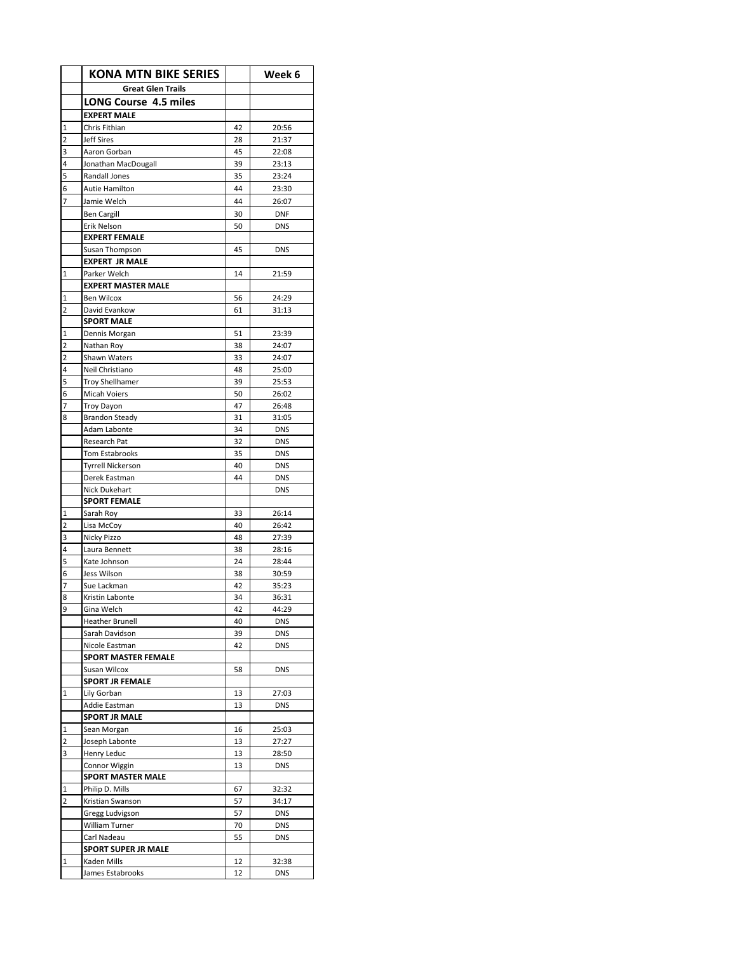|   | <b>KONA MTN BIKE SERIES</b>               |          | Week 6                   |
|---|-------------------------------------------|----------|--------------------------|
|   | <b>Great Glen Trails</b>                  |          |                          |
|   | LONG Course 4.5 miles                     |          |                          |
|   | <b>EXPERT MALE</b>                        |          |                          |
| 1 | Chris Fithian                             | 42       | 20:56                    |
| 2 | <b>Jeff Sires</b>                         | 28       | 21:37                    |
| 3 | Aaron Gorban                              | 45       | 22:08                    |
| 4 | Jonathan MacDougall                       | 39       | 23:13                    |
| 5 | Randall Jones                             | 35       | 23:24                    |
| 6 | Autie Hamilton                            | 44       | 23:30                    |
| 7 | Jamie Welch                               | 44       | 26:07                    |
|   | <b>Ben Cargill</b>                        | 30       | <b>DNF</b>               |
|   | Erik Nelson                               | 50       | <b>DNS</b>               |
|   | <b>EXPERT FEMALE</b>                      |          |                          |
|   | Susan Thompson                            | 45       | <b>DNS</b>               |
|   | <b>EXPERT JR MALE</b>                     | 14       |                          |
| 1 | Parker Welch<br><b>EXPERT MASTER MALE</b> |          | 21:59                    |
| 1 | <b>Ben Wilcox</b>                         | 56       | 24:29                    |
| 2 | David Evankow                             | 61       | 31:13                    |
|   | <b>SPORT MALE</b>                         |          |                          |
| 1 | Dennis Morgan                             | 51       | 23:39                    |
| 2 | Nathan Roy                                | 38       | 24:07                    |
| 2 | Shawn Waters                              | 33       | 24:07                    |
| 4 | Neil Christiano                           | 48       | 25:00                    |
| 5 | <b>Troy Shellhamer</b>                    | 39       | 25:53                    |
| 6 | <b>Micah Voiers</b>                       | 50       | 26:02                    |
| 7 | <b>Troy Dayon</b>                         | 47       | 26:48                    |
| 8 | <b>Brandon Steady</b>                     | 31       | 31:05                    |
|   | Adam Labonte                              | 34       | <b>DNS</b>               |
|   | Research Pat                              | 32       | <b>DNS</b>               |
|   | <b>Tom Estabrooks</b>                     | 35       | <b>DNS</b>               |
|   | <b>Tyrrell Nickerson</b><br>Derek Eastman | 40<br>44 | <b>DNS</b><br><b>DNS</b> |
|   | Nick Dukehart                             |          | <b>DNS</b>               |
|   | <b>SPORT FEMALE</b>                       |          |                          |
| 1 | Sarah Roy                                 | 33       | 26:14                    |
| 2 | Lisa McCoy                                | 40       | 26:42                    |
| 3 | Nicky Pizzo                               | 48       | 27:39                    |
| 4 | Laura Bennett                             | 38       | 28:16                    |
| 5 | Kate Johnson                              | 24       | 28:44                    |
| 6 | Jess Wilson                               | 38       | 30:59                    |
| 7 | Sue Lackman                               | 42       | 35:23                    |
| 8 | Kristin Labonte                           | 34       | 36:31                    |
| 9 | Gina Welch                                | 42       | 44:29                    |
|   | <b>Heather Brunell</b>                    | 40       | <b>DNS</b>               |
|   | Sarah Davidson                            | 39       | <b>DNS</b>               |
|   | Nicole Eastman                            | 42       | <b>DNS</b>               |
|   | SPORT MASTER FEMALE<br>Susan Wilcox       | 58       | <b>DNS</b>               |
|   | <b>SPORT JR FEMALE</b>                    |          |                          |
| 1 | Lily Gorban                               | 13       | 27:03                    |
|   | Addie Eastman                             | 13       | <b>DNS</b>               |
|   | <b>SPORT JR MALE</b>                      |          |                          |
| 1 | Sean Morgan                               | 16       | 25:03                    |
| 2 | Joseph Labonte                            | 13       | 27:27                    |
| 3 | Henry Leduc                               | 13       | 28:50                    |
|   | Connor Wiggin                             | 13       | <b>DNS</b>               |
|   | <b>SPORT MASTER MALE</b>                  |          |                          |
| 1 | Philip D. Mills                           | 67       | 32:32                    |
| 2 | Kristian Swanson                          | 57       | 34:17                    |
|   | Gregg Ludvigson                           | 57       | <b>DNS</b>               |
|   | William Turner                            | 70       | <b>DNS</b>               |
|   | Carl Nadeau                               | 55       | <b>DNS</b>               |
| 1 | <b>SPORT SUPER JR MALE</b><br>Kaden Mills | 12       |                          |
|   | James Estabrooks                          | 12       | 32:38<br><b>DNS</b>      |
|   |                                           |          |                          |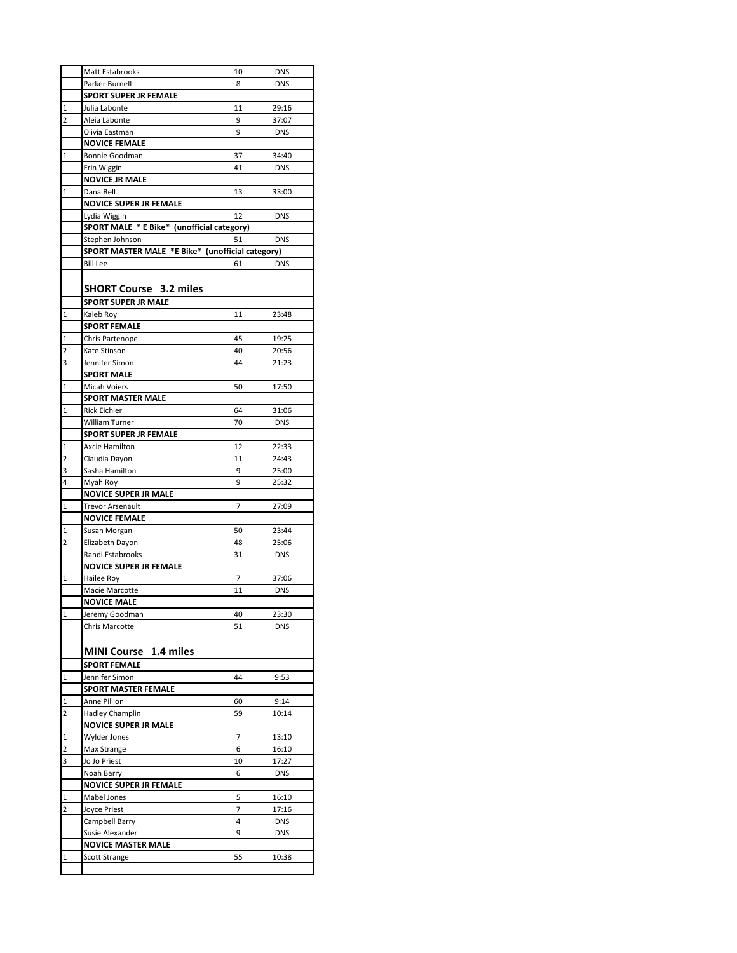|                         | Matt Estabrooks                                            | 10      | <b>DNS</b>     |
|-------------------------|------------------------------------------------------------|---------|----------------|
|                         | Parker Burnell                                             | 8       | <b>DNS</b>     |
|                         | <b>SPORT SUPER JR FEMALE</b>                               |         |                |
| 1                       | Julia Labonte                                              | 11      | 29:16          |
| $\overline{2}$          | Aleia Labonte                                              | 9       | 37:07          |
|                         | Olivia Eastman                                             | 9       | <b>DNS</b>     |
|                         | <b>NOVICE FEMALE</b>                                       |         |                |
| $\mathbf{1}$            | Bonnie Goodman                                             | 37      | 34:40          |
|                         | Erin Wiggin                                                | 41      | <b>DNS</b>     |
|                         | <b>NOVICE JR MALE</b>                                      |         |                |
| 1                       | Dana Bell                                                  | 13      | 33:00          |
|                         | <b>NOVICE SUPER JR FEMALE</b>                              |         |                |
|                         | Lydia Wiggin<br>SPORT MALE * E Bike* (unofficial category) | 12      | <b>DNS</b>     |
|                         | Stephen Johnson                                            | 51      | <b>DNS</b>     |
|                         | SPORT MASTER MALE *E Bike* (unofficial category)           |         |                |
|                         | <b>Bill Lee</b>                                            | 61      | <b>DNS</b>     |
|                         |                                                            |         |                |
|                         | <b>SHORT Course 3.2 miles</b>                              |         |                |
|                         | <b>SPORT SUPER JR MALE</b>                                 |         |                |
| $\mathbf{1}$            | Kaleb Roy                                                  | 11      | 23:48          |
|                         | <b>SPORT FEMALE</b>                                        |         |                |
| 1                       | Chris Partenope                                            | 45      | 19:25          |
| $\overline{2}$          | Kate Stinson                                               | 40      | 20:56          |
| 3                       | Jennifer Simon                                             | 44      | 21:23          |
|                         | <b>SPORT MALE</b>                                          |         |                |
| $\mathbf 1$             | <b>Micah Voiers</b>                                        | 50      | 17:50          |
|                         | <b>SPORT MASTER MALE</b>                                   |         |                |
| 1                       | <b>Rick Eichler</b>                                        | 64      | 31:06          |
|                         | William Turner                                             | 70      | <b>DNS</b>     |
|                         | <b>SPORT SUPER JR FEMALE</b>                               |         |                |
| 1                       | Axcie Hamilton                                             | 12      | 22:33          |
| 2<br>3                  | Claudia Dayon<br>Sasha Hamilton                            | 11<br>9 | 24:43<br>25:00 |
| 4                       | Myah Roy                                                   | 9       | 25:32          |
|                         | <b>NOVICE SUPER JR MALE</b>                                |         |                |
| 1                       | <b>Trevor Arsenault</b>                                    | 7       | 27:09          |
|                         | <b>NOVICE FEMALE</b>                                       |         |                |
| 1                       | Susan Morgan                                               | 50      | 23:44          |
| 2                       | Elizabeth Dayon                                            | 48      | 25:06          |
|                         | Randi Estabrooks                                           | 31      | <b>DNS</b>     |
|                         | NOVICE SUPER JR FEMALE                                     |         |                |
| $\mathbf 1$             | Hailee Roy                                                 | 7       | 37:06          |
|                         | Macie Marcotte                                             | 11      | <b>DNS</b>     |
|                         | <b>NOVICE MALE</b>                                         |         |                |
| $\mathbf{1}$            | Jeremy Goodman                                             | 40      | 23:30          |
|                         | <b>Chris Marcotte</b>                                      | 51      | <b>DNS</b>     |
|                         | <b>MINI Course</b> 1.4 miles                               |         |                |
|                         | <b>SPORT FEMALE</b>                                        |         |                |
| 1                       | Jennifer Simon                                             | 44      | 9:53           |
|                         | <b>SPORT MASTER FEMALE</b>                                 |         |                |
| 1                       | Anne Pillion                                               | 60      | 9:14           |
| $\overline{2}$          | <b>Hadley Champlin</b>                                     | 59      | 10:14          |
|                         | <b>NOVICE SUPER JR MALE</b>                                |         |                |
| 1                       | Wylder Jones                                               | 7       | 13:10          |
| 2                       | Max Strange                                                | 6       | 16:10          |
| 3                       | Jo Jo Priest                                               | 10      | 17:27          |
|                         | Noah Barry                                                 | 6       | <b>DNS</b>     |
|                         | NOVICE SUPER JR FEMALE                                     |         |                |
| 1                       | Mabel Jones                                                | 5       | 16:10          |
| $\overline{\mathbf{c}}$ | Joyce Priest                                               | 7       | 17:16          |
|                         | Campbell Barry                                             | 4       | <b>DNS</b>     |
|                         | Susie Alexander                                            | 9       | <b>DNS</b>     |
| 1                       | <b>NOVICE MASTER MALE</b><br><b>Scott Strange</b>          | 55      | 10:38          |
|                         |                                                            |         |                |
|                         |                                                            |         |                |